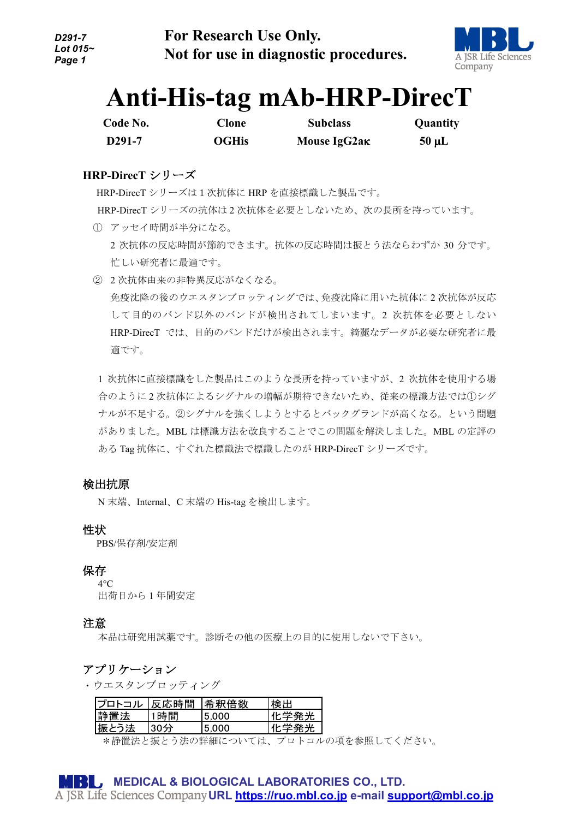

# **Anti-His-tag mAb-HRP-DirecT**

| Code No.           | Clone        | <b>Subclass</b> | Quantity   |
|--------------------|--------------|-----------------|------------|
| D <sub>291-7</sub> | <b>OGHis</b> | Mouse IgG2ak    | $50 \mu L$ |

# **HRP-DirecT** シリーズ

 HRP-DirecT シリーズは1次抗体に HRP を直接標識した製品です。 HRP-DirecT シリーズの抗体は 2 次抗体を必要としないため、次の長所を持っています。

- ① アッセイ時間が半分になる。 2 次抗体の反応時間が節約できます。抗体の反応時間は振とう法ならわずか 30 分です。 忙しい研究者に最適です。
- ② 2 次抗体由来の非特異反応がなくなる。 免疫沈降の後のウエスタンブロッティングでは、免疫沈降に用いた抗体に 2 次抗体が反応 して目的のバンド以外のバンドが検出されてしまいます。2 次抗体を必要としない HRP-DirecT では、目的のバンドだけが検出されます。綺麗なデータが必要な研究者に最 適です。

1 次抗体に直接標識をした製品はこのような長所を持っていますが、2 次抗体を使用する場 合のように 2 次抗体によるシグナルの増幅が期待できないため、従来の標識方法では①シグ ナルが不足する。②シグナルを強くしようとするとバックグランドが高くなる。という問題 がありました。MBL は標識方法を改良することでこの問題を解決しました。MBL の定評の ある Tag 抗体に、すぐれた標識法で標識したのが HRP-DirecT シリーズです。

# 検出抗原

N 末端、Internal、C 末端の His-tag を検出します。

### 性状

PBS/保存剤/安定剤

### 保存

 $4^\circ C$ 出荷日から 1 年間安定

### 注意

本品は研究用試薬です。診断その他の医療上の目的に使用しないで下さい。

# アプリケーション

・ウエスタンブロッティング

| プロトコル | 反応時間 | 希釈倍数  | 検出   |
|-------|------|-------|------|
| 静置法   | 1時間  | 5.000 | 化学発光 |
| 振とう法  | 30分  | 5.000 | 化学発光 |

\*静置法と振とう法の詳細については、プロトコルの項を参照してください。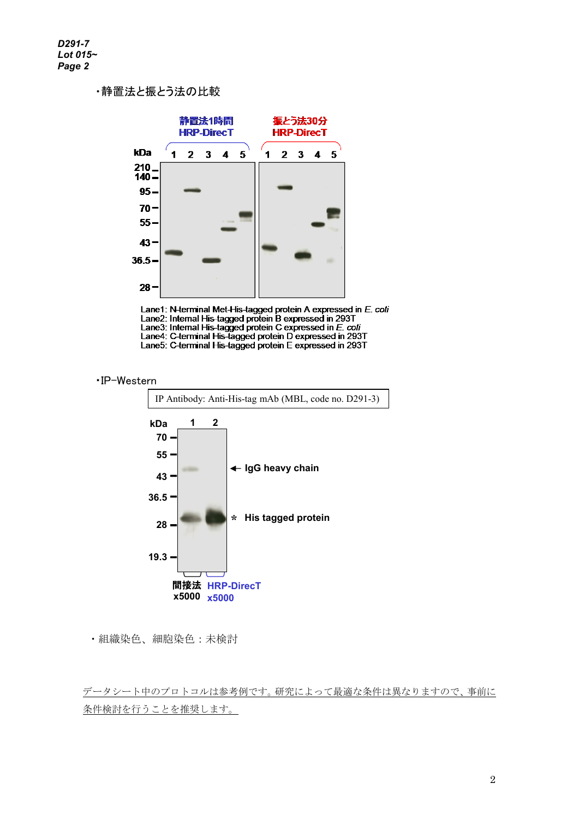# ・静置法と振とう法の比較



Lane1: N-terminal Met-His-tagged protein A expressed in E. coli<br>Lane2: Internal His-tagged protein B expressed in 293T<br>Lane3: Internal His-tagged protein C expressed in E. coli<br>Lane4: C-terminal His-tagged protein D expres





<sup>・</sup>組織染色、細胞染色:未検討

データシート中のプロトコルは参考例です。研究によって最適な条件は異なりますので、事前に 条件検討を行うことを推奨します。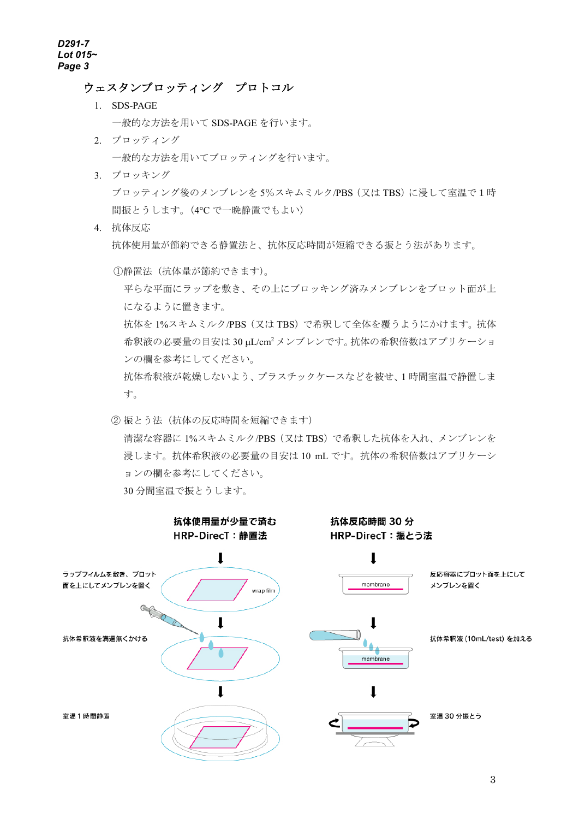### ウェスタンブロッティング プロトコル

1. SDS-PAGE

一般的な方法を用いて SDS-PAGE を行います。

- 2. ブロッティング 一般的な方法を用いてブロッティングを行います。
- 3. ブロッキング ブロッティング後のメンブレンを 5%スキムミルク/PBS(又は TBS)に浸して室温で1時 間振とうします。(4°C で一晩静置でもよい)

4. 抗体反応 抗体使用量が節約できる静置法と、抗体反応時間が短縮できる振とう法があります。

①静置法(抗体量が節約できます)。

平らな平面にラップを敷き、その上にブロッキング済みメンブレンをブロット面が上 になるように置きます。

抗体を 1%スキムミルク/PBS(又は TBS)で希釈して全体を覆うようにかけます。抗体 希釈液の必要量の目安は 30 µL/cm2 メンブレンです。抗体の希釈倍数はアプリケーショ ンの欄を参考にしてください。

抗体希釈液が乾燥しないよう、プラスチックケースなどを被せ、1 時間室温で静置しま す。

② 振とう法(抗体の反応時間を短縮できます) 清潔な容器に 1%スキムミルク/PBS(又は TBS)で希釈した抗体を入れ、メンブレンを 浸します。抗体希釈液の必要量の目安は 10 mL です。抗体の希釈倍数はアプリケーシ ョンの欄を参考にしてください。 30 分間室温で振とうします。

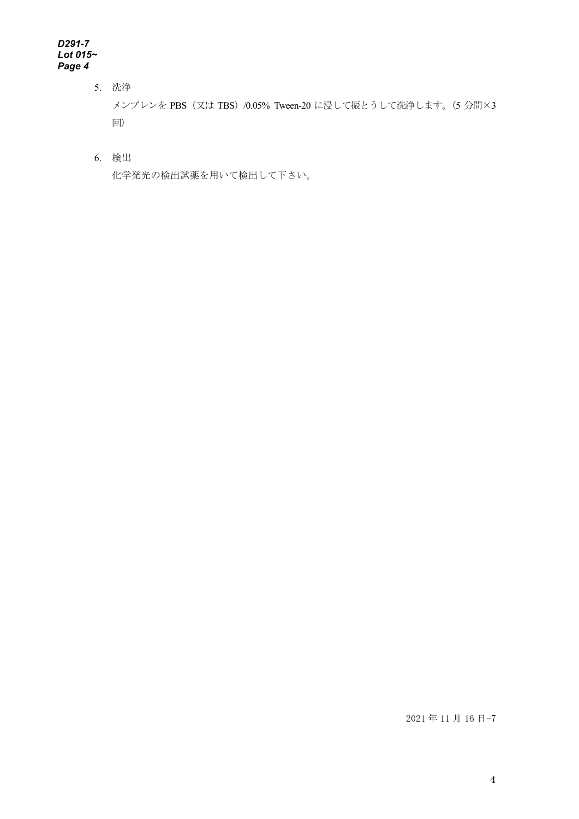#### *D291-7 Lot 015~ Page 4*

- 5. 洗浄 メンブレンを PBS(又は TBS)/0.05% Tween-20 に浸して振とうして洗浄します。(5 分間×3 回)
- 6. 検出

化学発光の検出試薬を用いて検出して下さい。

2021 年 11 月 16 日-7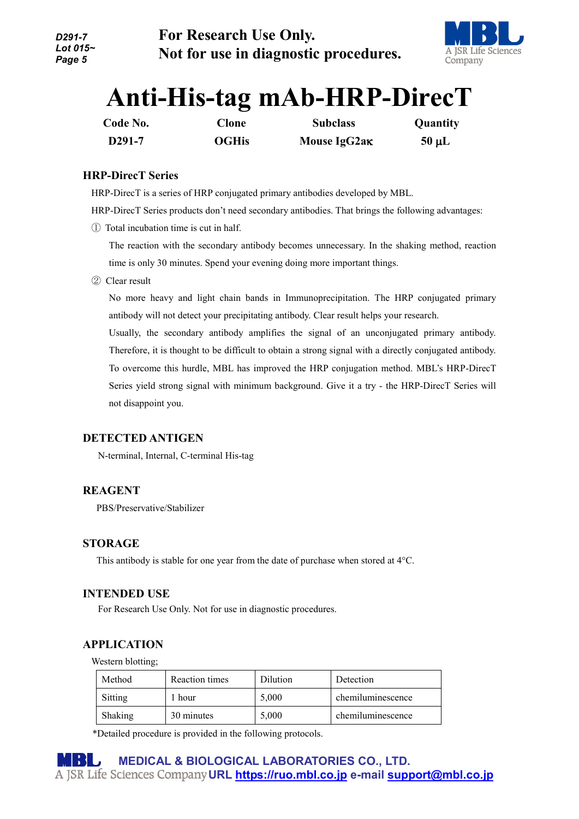

# **Anti-His-tag mAb-HRP-DirecT**

| Code No.            | <b>Clone</b> | <b>Subclass</b> | Quantity   |
|---------------------|--------------|-----------------|------------|
| D <sub>291</sub> -7 | <b>OGHis</b> | Mouse IgG2ak    | $50 \mu L$ |

### **HRP-DirecT Series**

HRP-DirecT is a series of HRP conjugated primary antibodies developed by MBL.

HRP-DirecT Series products don't need secondary antibodies. That brings the following advantages:

① Total incubation time is cut in half.

The reaction with the secondary antibody becomes unnecessary. In the shaking method, reaction time is only 30 minutes. Spend your evening doing more important things.

② Clear result

No more heavy and light chain bands in Immunoprecipitation. The HRP conjugated primary antibody will not detect your precipitating antibody. Clear result helps your research.

Usually, the secondary antibody amplifies the signal of an unconjugated primary antibody. Therefore, it is thought to be difficult to obtain a strong signal with a directly conjugated antibody. To overcome this hurdle, MBL has improved the HRP conjugation method. MBL's HRP-DirecT Series yield strong signal with minimum background. Give it a try - the HRP-DirecT Series will not disappoint you.

### **DETECTED ANTIGEN**

N-terminal, Internal, C-terminal His-tag

### **REAGENT**

PBS/Preservative/Stabilizer

### **STORAGE**

This antibody is stable for one year from the date of purchase when stored at 4°C.

### **INTENDED USE**

For Research Use Only. Not for use in diagnostic procedures.

# **APPLICATION**

Western blotting;

| Method  | Reaction times | <b>Dilution</b> | Detection         |
|---------|----------------|-----------------|-------------------|
| Sitting | 1 hour         | 5.000           | chemiluminescence |
| Shaking | 30 minutes     | 5.000           | chemiluminescence |

\*Detailed procedure is provided in the following protocols.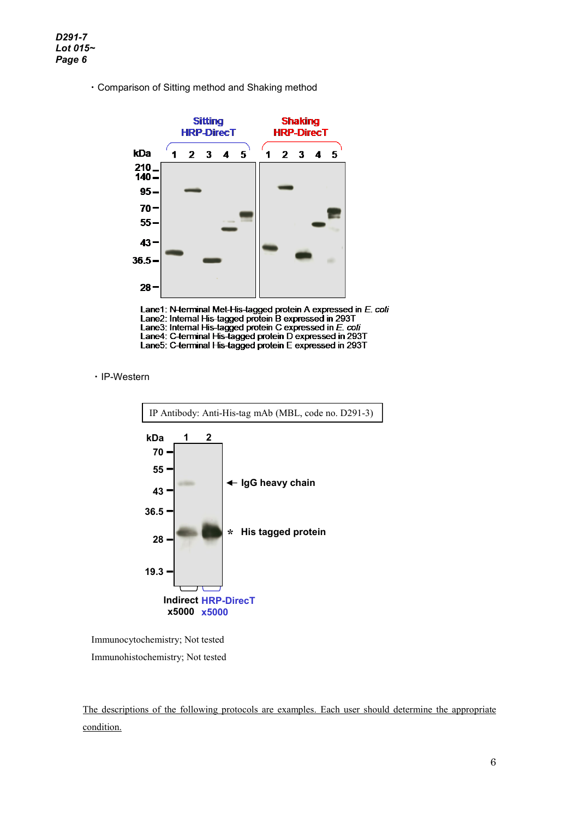・Comparison of Sitting method and Shaking method



Lane1: N-terminal Met-His-tagged protein A expressed in E. coli<br>Lane2: Internal His-tagged protein B expressed in 293T<br>Lane3: Internal His-tagged protein C expressed in E. coli<br>Lane4: C-terminal His-tagged protein D expres

・IP-Western



Immunocytochemistry; Not tested

Immunohistochemistry; Not tested

The descriptions of the following protocols are examples. Each user should determine the appropriate condition.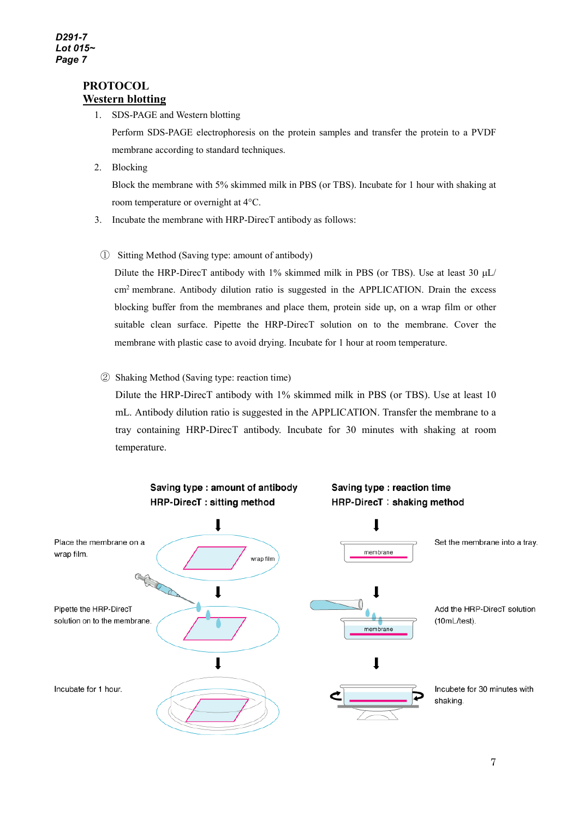### **PROTOCOL Western blotting**

1. SDS-PAGE and Western blotting

Perform SDS-PAGE electrophoresis on the protein samples and transfer the protein to a PVDF membrane according to standard techniques.

2. Blocking

Block the membrane with 5% skimmed milk in PBS (or TBS). Incubate for 1 hour with shaking at room temperature or overnight at 4°C.

- 3. Incubate the membrane with HRP-DirecT antibody as follows:
	- ① Sitting Method (Saving type: amount of antibody)

Dilute the HRP-DirecT antibody with 1% skimmed milk in PBS (or TBS). Use at least 30  $\mu$ L/ cm<sup>2</sup> membrane. Antibody dilution ratio is suggested in the APPLICATION. Drain the excess blocking buffer from the membranes and place them, protein side up, on a wrap film or other suitable clean surface. Pipette the HRP-DirecT solution on to the membrane. Cover the membrane with plastic case to avoid drying. Incubate for 1 hour at room temperature.

### ② Shaking Method (Saving type: reaction time)

Dilute the HRP-DirecT antibody with 1% skimmed milk in PBS (or TBS). Use at least 10 mL. Antibody dilution ratio is suggested in the APPLICATION. Transfer the membrane to a tray containing HRP-DirecT antibody. Incubate for 30 minutes with shaking at room temperature.